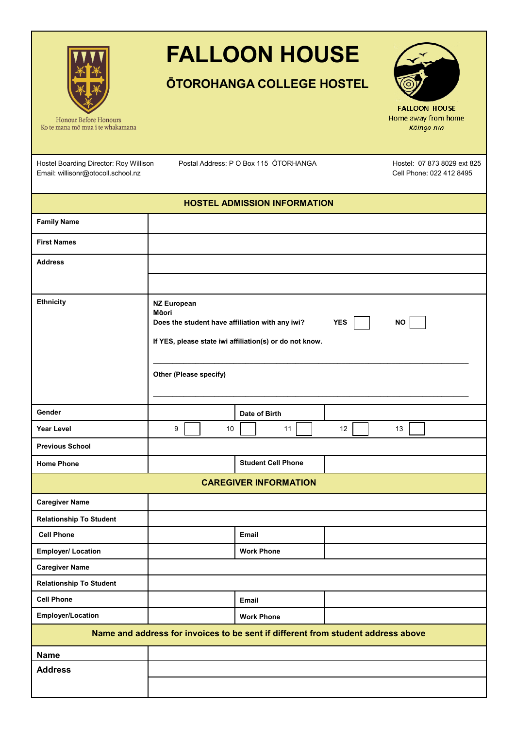

## **FALLOON HOUSE**

## **ŌTOROHANGA COLLEGE HOSTEL**



**FALLOON HOUSE** Home away from home Kāinga rua

Ko te mana mō mua i te whakamana

Hostel Boarding Director: Roy Willison Email: willisonr@otocoll.school.nz

Postal Address: P O Box 115 O TORHANGA Hostel: 07 873 8029 ext 825

Cell Phone: 022 412 8495

| <b>HOSTEL ADMISSION INFORMATION</b>                                              |                                                                                                                                                                                                |  |  |  |  |
|----------------------------------------------------------------------------------|------------------------------------------------------------------------------------------------------------------------------------------------------------------------------------------------|--|--|--|--|
| <b>Family Name</b>                                                               |                                                                                                                                                                                                |  |  |  |  |
| <b>First Names</b>                                                               |                                                                                                                                                                                                |  |  |  |  |
| <b>Address</b>                                                                   |                                                                                                                                                                                                |  |  |  |  |
|                                                                                  |                                                                                                                                                                                                |  |  |  |  |
| <b>Ethnicity</b>                                                                 | <b>NZ European</b><br>Māori<br>Does the student have affiliation with any iwi?<br><b>YES</b><br><b>NO</b><br>If YES, please state iwi affiliation(s) or do not know.<br>Other (Please specify) |  |  |  |  |
| Gender                                                                           | Date of Birth                                                                                                                                                                                  |  |  |  |  |
| <b>Year Level</b>                                                                | 9<br>10<br>11<br>12<br>13                                                                                                                                                                      |  |  |  |  |
| <b>Previous School</b>                                                           |                                                                                                                                                                                                |  |  |  |  |
| <b>Home Phone</b>                                                                | <b>Student Cell Phone</b>                                                                                                                                                                      |  |  |  |  |
| <b>CAREGIVER INFORMATION</b>                                                     |                                                                                                                                                                                                |  |  |  |  |
| <b>Caregiver Name</b>                                                            |                                                                                                                                                                                                |  |  |  |  |
| <b>Relationship To Student</b>                                                   |                                                                                                                                                                                                |  |  |  |  |
| <b>Cell Phone</b>                                                                | Email                                                                                                                                                                                          |  |  |  |  |
| <b>Employer/ Location</b>                                                        | <b>Work Phone</b>                                                                                                                                                                              |  |  |  |  |
| <b>Caregiver Name</b>                                                            |                                                                                                                                                                                                |  |  |  |  |
| <b>Relationship To Student</b>                                                   |                                                                                                                                                                                                |  |  |  |  |
| <b>Cell Phone</b>                                                                | Email                                                                                                                                                                                          |  |  |  |  |
| Employer/Location                                                                | <b>Work Phone</b>                                                                                                                                                                              |  |  |  |  |
| Name and address for invoices to be sent if different from student address above |                                                                                                                                                                                                |  |  |  |  |
| <b>Name</b>                                                                      |                                                                                                                                                                                                |  |  |  |  |
| <b>Address</b>                                                                   |                                                                                                                                                                                                |  |  |  |  |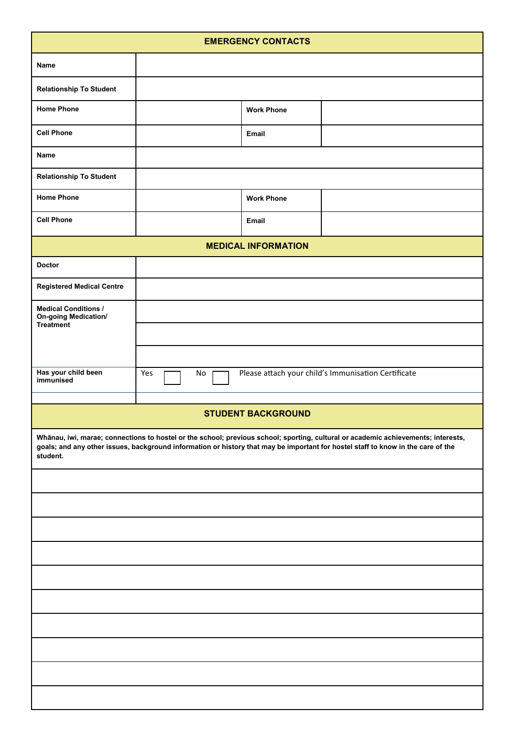| <b>EMERGENCY CONTACTS</b>                                                                                                                                                                                                                                                         |           |                   |                                                     |  |  |  |  |
|-----------------------------------------------------------------------------------------------------------------------------------------------------------------------------------------------------------------------------------------------------------------------------------|-----------|-------------------|-----------------------------------------------------|--|--|--|--|
| Name                                                                                                                                                                                                                                                                              |           |                   |                                                     |  |  |  |  |
| <b>Relationship To Student</b>                                                                                                                                                                                                                                                    |           |                   |                                                     |  |  |  |  |
| <b>Home Phone</b>                                                                                                                                                                                                                                                                 |           | <b>Work Phone</b> |                                                     |  |  |  |  |
| <b>Cell Phone</b>                                                                                                                                                                                                                                                                 |           | Email             |                                                     |  |  |  |  |
| Name                                                                                                                                                                                                                                                                              |           |                   |                                                     |  |  |  |  |
| <b>Relationship To Student</b>                                                                                                                                                                                                                                                    |           |                   |                                                     |  |  |  |  |
| <b>Home Phone</b>                                                                                                                                                                                                                                                                 |           | <b>Work Phone</b> |                                                     |  |  |  |  |
| <b>Cell Phone</b>                                                                                                                                                                                                                                                                 |           | Email             |                                                     |  |  |  |  |
| <b>MEDICAL INFORMATION</b>                                                                                                                                                                                                                                                        |           |                   |                                                     |  |  |  |  |
| <b>Doctor</b>                                                                                                                                                                                                                                                                     |           |                   |                                                     |  |  |  |  |
| <b>Registered Medical Centre</b>                                                                                                                                                                                                                                                  |           |                   |                                                     |  |  |  |  |
| <b>Medical Conditions /</b><br><b>On-going Medication/</b><br>Treatment                                                                                                                                                                                                           |           |                   |                                                     |  |  |  |  |
|                                                                                                                                                                                                                                                                                   |           |                   |                                                     |  |  |  |  |
|                                                                                                                                                                                                                                                                                   |           |                   |                                                     |  |  |  |  |
| Has your child been<br>immunised                                                                                                                                                                                                                                                  | Yes<br>No |                   | Please attach your child's Immunisation Certificate |  |  |  |  |
|                                                                                                                                                                                                                                                                                   |           |                   |                                                     |  |  |  |  |
| <b>STUDENT BACKGROUND</b>                                                                                                                                                                                                                                                         |           |                   |                                                     |  |  |  |  |
| Whānau, iwi, marae; connections to hostel or the school; previous school; sporting, cultural or academic achievements; interests,<br>goals; and any other issues, background information or history that may be important for hostel staff to know in the care of the<br>student. |           |                   |                                                     |  |  |  |  |
|                                                                                                                                                                                                                                                                                   |           |                   |                                                     |  |  |  |  |
|                                                                                                                                                                                                                                                                                   |           |                   |                                                     |  |  |  |  |
|                                                                                                                                                                                                                                                                                   |           |                   |                                                     |  |  |  |  |
|                                                                                                                                                                                                                                                                                   |           |                   |                                                     |  |  |  |  |
|                                                                                                                                                                                                                                                                                   |           |                   |                                                     |  |  |  |  |
|                                                                                                                                                                                                                                                                                   |           |                   |                                                     |  |  |  |  |
|                                                                                                                                                                                                                                                                                   |           |                   |                                                     |  |  |  |  |
|                                                                                                                                                                                                                                                                                   |           |                   |                                                     |  |  |  |  |
|                                                                                                                                                                                                                                                                                   |           |                   |                                                     |  |  |  |  |
|                                                                                                                                                                                                                                                                                   |           |                   |                                                     |  |  |  |  |